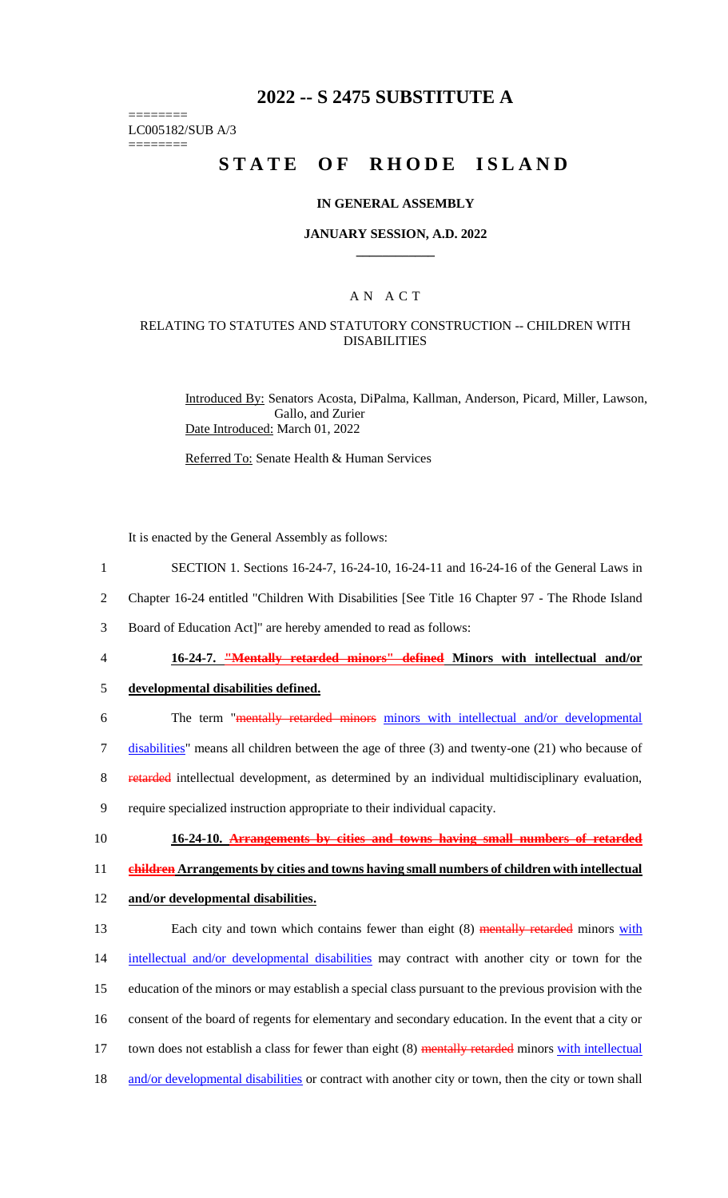# **2022 -- S 2475 SUBSTITUTE A**

======== LC005182/SUB A/3

========

# **STATE OF RHODE ISLAND**

#### **IN GENERAL ASSEMBLY**

#### **JANUARY SESSION, A.D. 2022 \_\_\_\_\_\_\_\_\_\_\_\_**

## A N A C T

## RELATING TO STATUTES AND STATUTORY CONSTRUCTION -- CHILDREN WITH DISABILITIES

Introduced By: Senators Acosta, DiPalma, Kallman, Anderson, Picard, Miller, Lawson, Gallo, and Zurier Date Introduced: March 01, 2022

Referred To: Senate Health & Human Services

It is enacted by the General Assembly as follows:

- 1 SECTION 1. Sections 16-24-7, 16-24-10, 16-24-11 and 16-24-16 of the General Laws in
- 2 Chapter 16-24 entitled "Children With Disabilities [See Title 16 Chapter 97 The Rhode Island

3 Board of Education Act]" are hereby amended to read as follows:

#### 4 **16-24-7. "Mentally retarded minors" defined Minors with intellectual and/or**

#### 5 **developmental disabilities defined.**

6 The term "mentally retarded minors minors with intellectual and/or developmental

7 disabilities" means all children between the age of three (3) and twenty-one (21) who because of

8 retarded intellectual development, as determined by an individual multidisciplinary evaluation,

- 9 require specialized instruction appropriate to their individual capacity.
- 

# 10 **16-24-10. Arrangements by cities and towns having small numbers of retarded**

11 **children Arrangements by cities and towns having small numbers of children with intellectual** 

#### 12 **and/or developmental disabilities.**

13 Each city and town which contains fewer than eight (8) mentally retarded minors with 14 intellectual and/or developmental disabilities may contract with another city or town for the 15 education of the minors or may establish a special class pursuant to the previous provision with the 16 consent of the board of regents for elementary and secondary education. In the event that a city or 17 town does not establish a class for fewer than eight (8) mentally retarded minors with intellectual 18 and/or developmental disabilities or contract with another city or town, then the city or town shall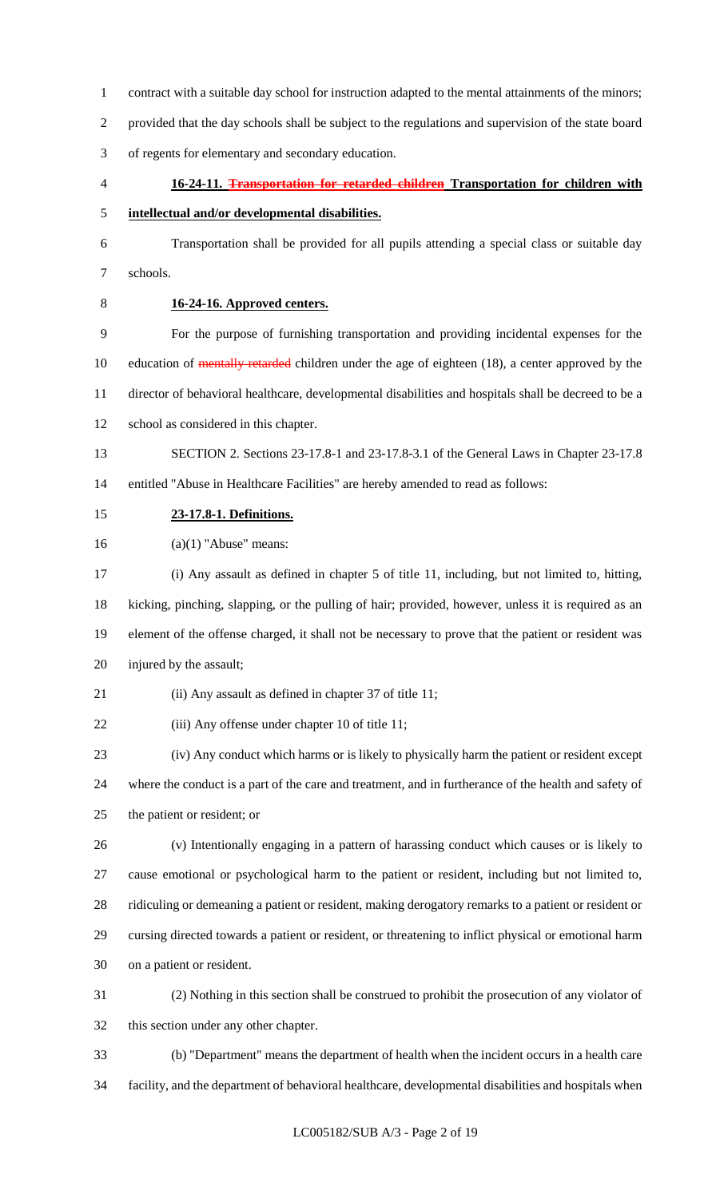contract with a suitable day school for instruction adapted to the mental attainments of the minors; provided that the day schools shall be subject to the regulations and supervision of the state board of regents for elementary and secondary education. **16-24-11. Transportation for retarded children Transportation for children with intellectual and/or developmental disabilities.** Transportation shall be provided for all pupils attending a special class or suitable day schools. **16-24-16. Approved centers.** For the purpose of furnishing transportation and providing incidental expenses for the 10 education of mentally retarded children under the age of eighteen (18), a center approved by the director of behavioral healthcare, developmental disabilities and hospitals shall be decreed to be a school as considered in this chapter. SECTION 2. Sections 23-17.8-1 and 23-17.8-3.1 of the General Laws in Chapter 23-17.8 entitled "Abuse in Healthcare Facilities" are hereby amended to read as follows: **23-17.8-1. Definitions.** (a)(1) "Abuse" means: (i) Any assault as defined in chapter 5 of title 11, including, but not limited to, hitting, kicking, pinching, slapping, or the pulling of hair; provided, however, unless it is required as an element of the offense charged, it shall not be necessary to prove that the patient or resident was injured by the assault; 21 (ii) Any assault as defined in chapter 37 of title 11; (iii) Any offense under chapter 10 of title 11; (iv) Any conduct which harms or is likely to physically harm the patient or resident except where the conduct is a part of the care and treatment, and in furtherance of the health and safety of the patient or resident; or (v) Intentionally engaging in a pattern of harassing conduct which causes or is likely to cause emotional or psychological harm to the patient or resident, including but not limited to, ridiculing or demeaning a patient or resident, making derogatory remarks to a patient or resident or

 cursing directed towards a patient or resident, or threatening to inflict physical or emotional harm on a patient or resident.

 (2) Nothing in this section shall be construed to prohibit the prosecution of any violator of this section under any other chapter.

 (b) "Department" means the department of health when the incident occurs in a health care facility, and the department of behavioral healthcare, developmental disabilities and hospitals when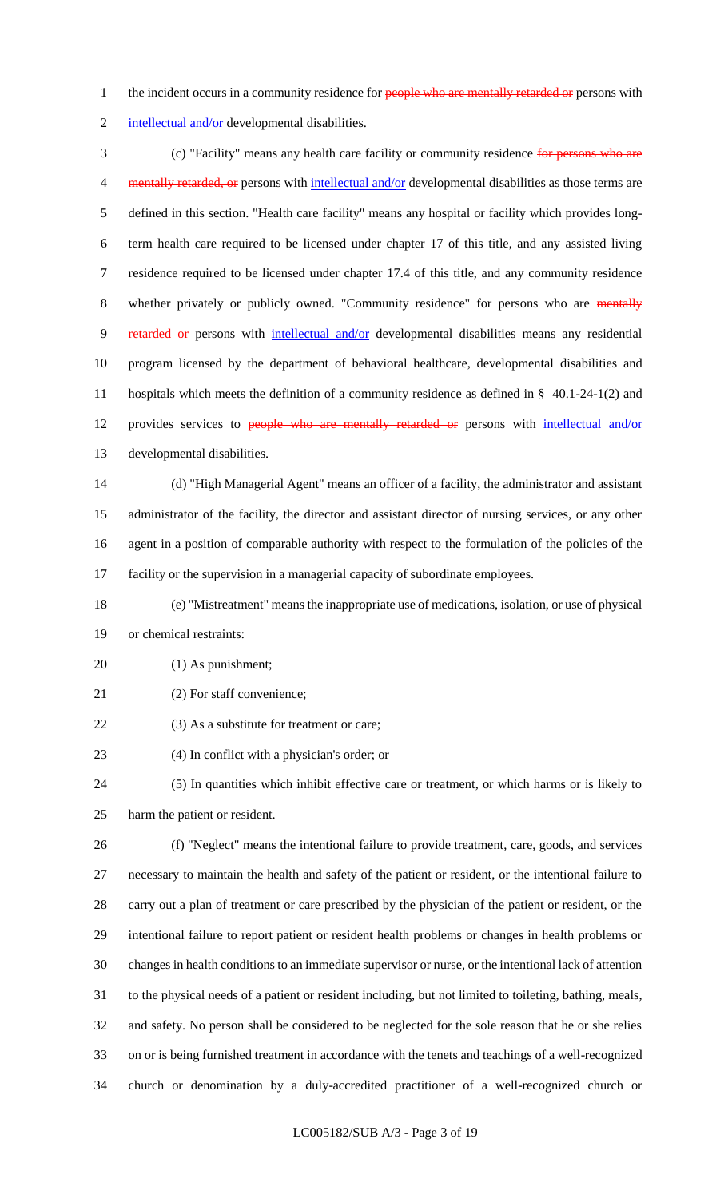1 the incident occurs in a community residence for people who are mentally retarded or persons with

2 intellectual and/or developmental disabilities.

3 (c) "Facility" means any health care facility or community residence for persons who are 4 mentally retarded, or persons with intellectual and/or developmental disabilities as those terms are defined in this section. "Health care facility" means any hospital or facility which provides long- term health care required to be licensed under chapter 17 of this title, and any assisted living residence required to be licensed under chapter 17.4 of this title, and any community residence 8 whether privately or publicly owned. "Community residence" for persons who are mentally 9 retarded or persons with intellectual and/or developmental disabilities means any residential program licensed by the department of behavioral healthcare, developmental disabilities and hospitals which meets the definition of a community residence as defined in § 40.1-24-1(2) and 12 provides services to people who are mentally retarded or persons with intellectual and/or developmental disabilities. (d) "High Managerial Agent" means an officer of a facility, the administrator and assistant

 administrator of the facility, the director and assistant director of nursing services, or any other agent in a position of comparable authority with respect to the formulation of the policies of the facility or the supervision in a managerial capacity of subordinate employees.

(e) "Mistreatment" means the inappropriate use of medications, isolation, or use of physical

or chemical restraints:

20 (1) As punishment;

21 (2) For staff convenience;

22 (3) As a substitute for treatment or care;

(4) In conflict with a physician's order; or

 (5) In quantities which inhibit effective care or treatment, or which harms or is likely to harm the patient or resident.

 (f) "Neglect" means the intentional failure to provide treatment, care, goods, and services necessary to maintain the health and safety of the patient or resident, or the intentional failure to carry out a plan of treatment or care prescribed by the physician of the patient or resident, or the intentional failure to report patient or resident health problems or changes in health problems or changes in health conditions to an immediate supervisor or nurse, or the intentional lack of attention to the physical needs of a patient or resident including, but not limited to toileting, bathing, meals, and safety. No person shall be considered to be neglected for the sole reason that he or she relies on or is being furnished treatment in accordance with the tenets and teachings of a well-recognized church or denomination by a duly-accredited practitioner of a well-recognized church or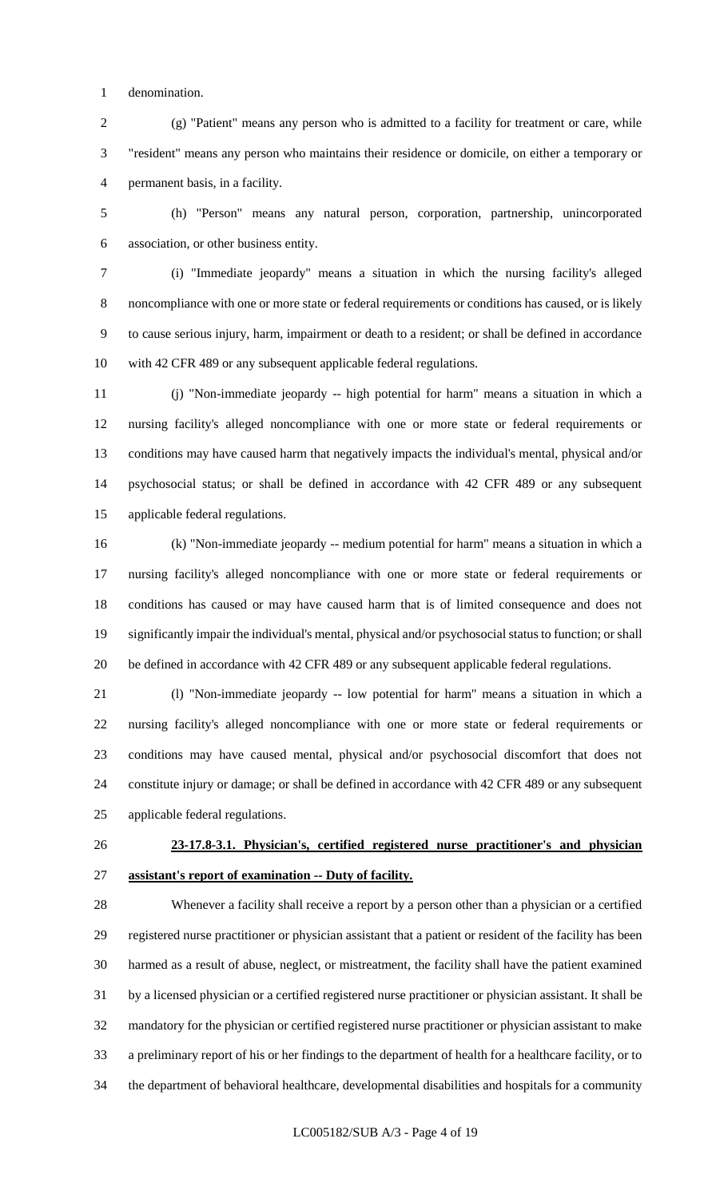denomination.

 (g) "Patient" means any person who is admitted to a facility for treatment or care, while "resident" means any person who maintains their residence or domicile, on either a temporary or permanent basis, in a facility.

 (h) "Person" means any natural person, corporation, partnership, unincorporated association, or other business entity.

 (i) "Immediate jeopardy" means a situation in which the nursing facility's alleged noncompliance with one or more state or federal requirements or conditions has caused, or is likely to cause serious injury, harm, impairment or death to a resident; or shall be defined in accordance with 42 CFR 489 or any subsequent applicable federal regulations.

 (j) "Non-immediate jeopardy -- high potential for harm" means a situation in which a nursing facility's alleged noncompliance with one or more state or federal requirements or conditions may have caused harm that negatively impacts the individual's mental, physical and/or psychosocial status; or shall be defined in accordance with 42 CFR 489 or any subsequent applicable federal regulations.

 (k) "Non-immediate jeopardy -- medium potential for harm" means a situation in which a nursing facility's alleged noncompliance with one or more state or federal requirements or conditions has caused or may have caused harm that is of limited consequence and does not significantly impair the individual's mental, physical and/or psychosocial status to function; or shall be defined in accordance with 42 CFR 489 or any subsequent applicable federal regulations.

 (l) "Non-immediate jeopardy -- low potential for harm" means a situation in which a nursing facility's alleged noncompliance with one or more state or federal requirements or conditions may have caused mental, physical and/or psychosocial discomfort that does not constitute injury or damage; or shall be defined in accordance with 42 CFR 489 or any subsequent applicable federal regulations.

# **23-17.8-3.1. Physician's, certified registered nurse practitioner's and physician assistant's report of examination -- Duty of facility.**

 Whenever a facility shall receive a report by a person other than a physician or a certified registered nurse practitioner or physician assistant that a patient or resident of the facility has been harmed as a result of abuse, neglect, or mistreatment, the facility shall have the patient examined by a licensed physician or a certified registered nurse practitioner or physician assistant. It shall be mandatory for the physician or certified registered nurse practitioner or physician assistant to make a preliminary report of his or her findings to the department of health for a healthcare facility, or to the department of behavioral healthcare, developmental disabilities and hospitals for a community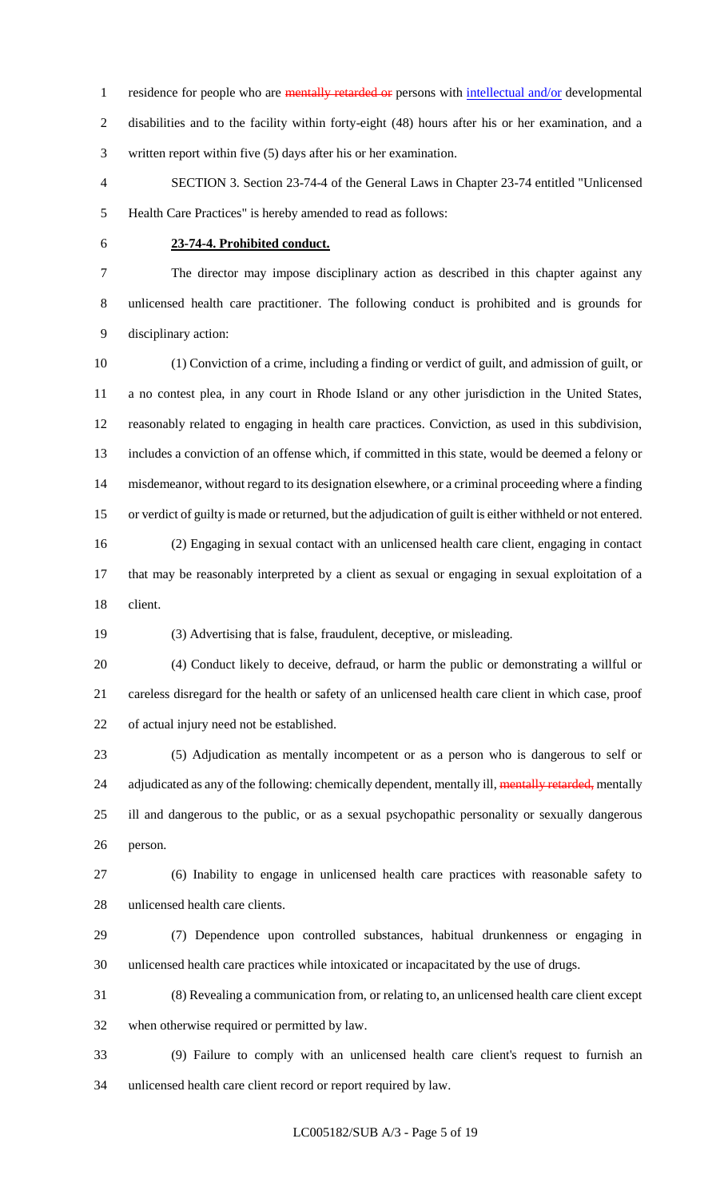1 residence for people who are mentally retarded or persons with intellectual and/or developmental disabilities and to the facility within forty-eight (48) hours after his or her examination, and a written report within five (5) days after his or her examination.

 SECTION 3. Section 23-74-4 of the General Laws in Chapter 23-74 entitled "Unlicensed Health Care Practices" is hereby amended to read as follows:

#### **23-74-4. Prohibited conduct.**

 The director may impose disciplinary action as described in this chapter against any unlicensed health care practitioner. The following conduct is prohibited and is grounds for disciplinary action:

 (1) Conviction of a crime, including a finding or verdict of guilt, and admission of guilt, or a no contest plea, in any court in Rhode Island or any other jurisdiction in the United States, reasonably related to engaging in health care practices. Conviction, as used in this subdivision, includes a conviction of an offense which, if committed in this state, would be deemed a felony or misdemeanor, without regard to its designation elsewhere, or a criminal proceeding where a finding or verdict of guilty is made or returned, but the adjudication of guilt is either withheld or not entered. (2) Engaging in sexual contact with an unlicensed health care client, engaging in contact

 that may be reasonably interpreted by a client as sexual or engaging in sexual exploitation of a client.

(3) Advertising that is false, fraudulent, deceptive, or misleading.

 (4) Conduct likely to deceive, defraud, or harm the public or demonstrating a willful or careless disregard for the health or safety of an unlicensed health care client in which case, proof of actual injury need not be established.

 (5) Adjudication as mentally incompetent or as a person who is dangerous to self or 24 adjudicated as any of the following: chemically dependent, mentally ill, mentally retarded, mentally ill and dangerous to the public, or as a sexual psychopathic personality or sexually dangerous person.

 (6) Inability to engage in unlicensed health care practices with reasonable safety to unlicensed health care clients.

 (7) Dependence upon controlled substances, habitual drunkenness or engaging in unlicensed health care practices while intoxicated or incapacitated by the use of drugs.

 (8) Revealing a communication from, or relating to, an unlicensed health care client except when otherwise required or permitted by law.

 (9) Failure to comply with an unlicensed health care client's request to furnish an unlicensed health care client record or report required by law.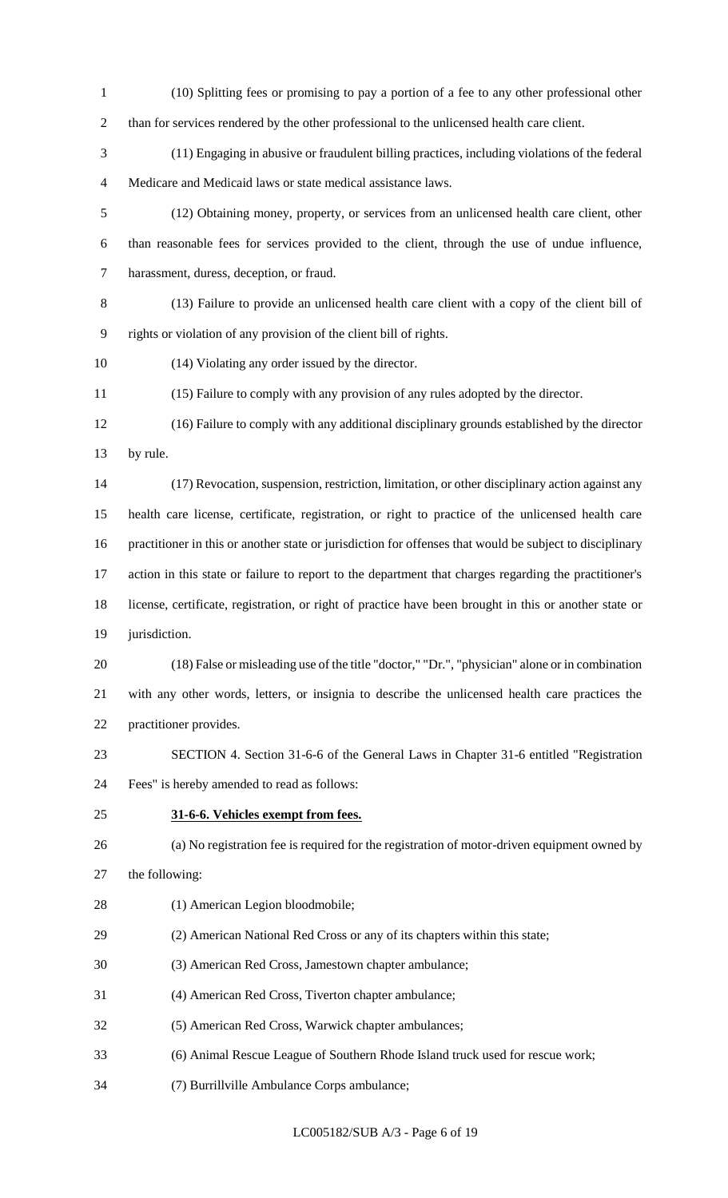(10) Splitting fees or promising to pay a portion of a fee to any other professional other than for services rendered by the other professional to the unlicensed health care client. (11) Engaging in abusive or fraudulent billing practices, including violations of the federal Medicare and Medicaid laws or state medical assistance laws. (12) Obtaining money, property, or services from an unlicensed health care client, other than reasonable fees for services provided to the client, through the use of undue influence, harassment, duress, deception, or fraud. (13) Failure to provide an unlicensed health care client with a copy of the client bill of rights or violation of any provision of the client bill of rights. (14) Violating any order issued by the director. (15) Failure to comply with any provision of any rules adopted by the director. (16) Failure to comply with any additional disciplinary grounds established by the director by rule. (17) Revocation, suspension, restriction, limitation, or other disciplinary action against any health care license, certificate, registration, or right to practice of the unlicensed health care practitioner in this or another state or jurisdiction for offenses that would be subject to disciplinary action in this state or failure to report to the department that charges regarding the practitioner's license, certificate, registration, or right of practice have been brought in this or another state or jurisdiction. (18) False or misleading use of the title "doctor," "Dr.", "physician" alone or in combination with any other words, letters, or insignia to describe the unlicensed health care practices the practitioner provides. SECTION 4. Section 31-6-6 of the General Laws in Chapter 31-6 entitled "Registration Fees" is hereby amended to read as follows: **31-6-6. Vehicles exempt from fees.** (a) No registration fee is required for the registration of motor-driven equipment owned by the following: 28 (1) American Legion bloodmobile; (2) American National Red Cross or any of its chapters within this state; (3) American Red Cross, Jamestown chapter ambulance; (4) American Red Cross, Tiverton chapter ambulance; (5) American Red Cross, Warwick chapter ambulances; (6) Animal Rescue League of Southern Rhode Island truck used for rescue work; (7) Burrillville Ambulance Corps ambulance;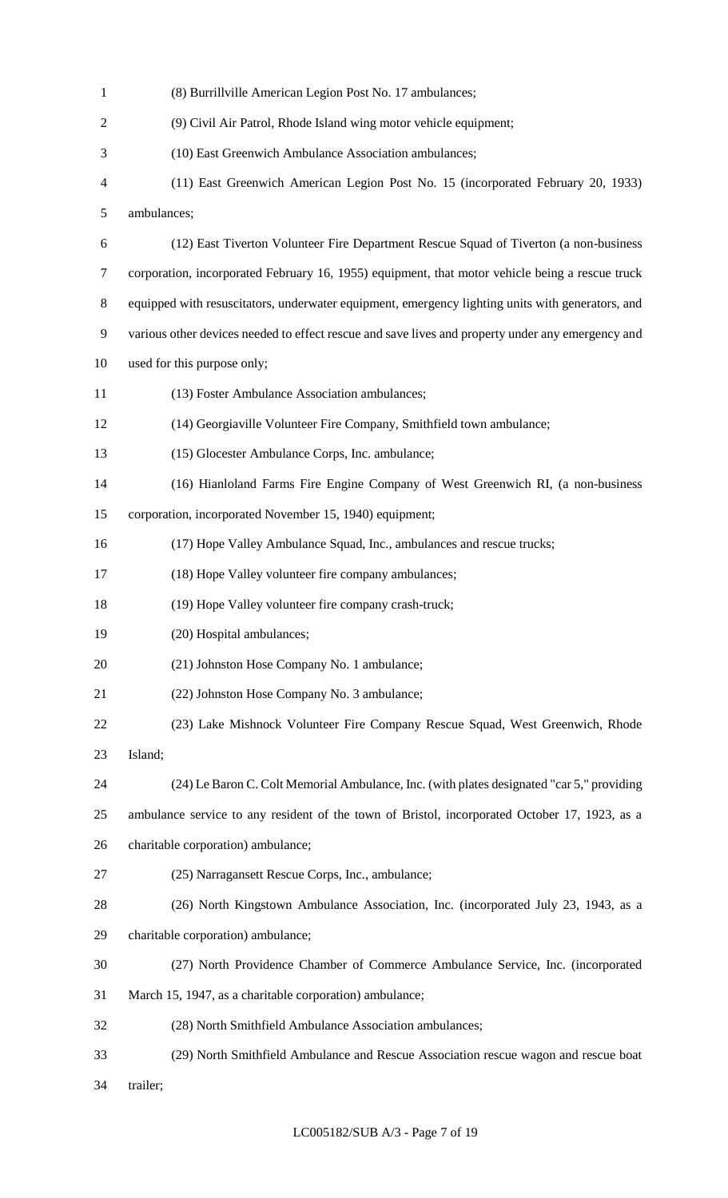| $\mathbf{1}$             | (8) Burrillville American Legion Post No. 17 ambulances;                                          |
|--------------------------|---------------------------------------------------------------------------------------------------|
| $\mathfrak{2}$           | (9) Civil Air Patrol, Rhode Island wing motor vehicle equipment;                                  |
| 3                        | (10) East Greenwich Ambulance Association ambulances;                                             |
| $\overline{\mathcal{A}}$ | (11) East Greenwich American Legion Post No. 15 (incorporated February 20, 1933)                  |
| 5                        | ambulances;                                                                                       |
| 6                        | (12) East Tiverton Volunteer Fire Department Rescue Squad of Tiverton (a non-business             |
| 7                        | corporation, incorporated February 16, 1955) equipment, that motor vehicle being a rescue truck   |
| 8                        | equipped with resuscitators, underwater equipment, emergency lighting units with generators, and  |
| 9                        | various other devices needed to effect rescue and save lives and property under any emergency and |
| 10                       | used for this purpose only;                                                                       |
| 11                       | (13) Foster Ambulance Association ambulances;                                                     |
| 12                       | (14) Georgiaville Volunteer Fire Company, Smithfield town ambulance;                              |
| 13                       | (15) Glocester Ambulance Corps, Inc. ambulance;                                                   |
| 14                       | (16) Hianloland Farms Fire Engine Company of West Greenwich RI, (a non-business                   |
| 15                       | corporation, incorporated November 15, 1940) equipment;                                           |
| 16                       | (17) Hope Valley Ambulance Squad, Inc., ambulances and rescue trucks;                             |
| 17                       | (18) Hope Valley volunteer fire company ambulances;                                               |
| 18                       | (19) Hope Valley volunteer fire company crash-truck;                                              |
| 19                       | (20) Hospital ambulances;                                                                         |
| 20                       | (21) Johnston Hose Company No. 1 ambulance;                                                       |
| 21                       | (22) Johnston Hose Company No. 3 ambulance;                                                       |
| 22                       | (23) Lake Mishnock Volunteer Fire Company Rescue Squad, West Greenwich, Rhode                     |
| 23                       | Island;                                                                                           |
| 24                       | (24) Le Baron C. Colt Memorial Ambulance, Inc. (with plates designated "car 5," providing         |
| 25                       | ambulance service to any resident of the town of Bristol, incorporated October 17, 1923, as a     |
| 26                       | charitable corporation) ambulance;                                                                |
| 27                       | (25) Narragansett Rescue Corps, Inc., ambulance;                                                  |
| 28                       | (26) North Kingstown Ambulance Association, Inc. (incorporated July 23, 1943, as a                |
| 29                       | charitable corporation) ambulance;                                                                |
| 30                       | (27) North Providence Chamber of Commerce Ambulance Service, Inc. (incorporated                   |
| 31                       | March 15, 1947, as a charitable corporation) ambulance;                                           |
| 32                       | (28) North Smithfield Ambulance Association ambulances;                                           |
| 33                       | (29) North Smithfield Ambulance and Rescue Association rescue wagon and rescue boat               |
| 34                       | trailer;                                                                                          |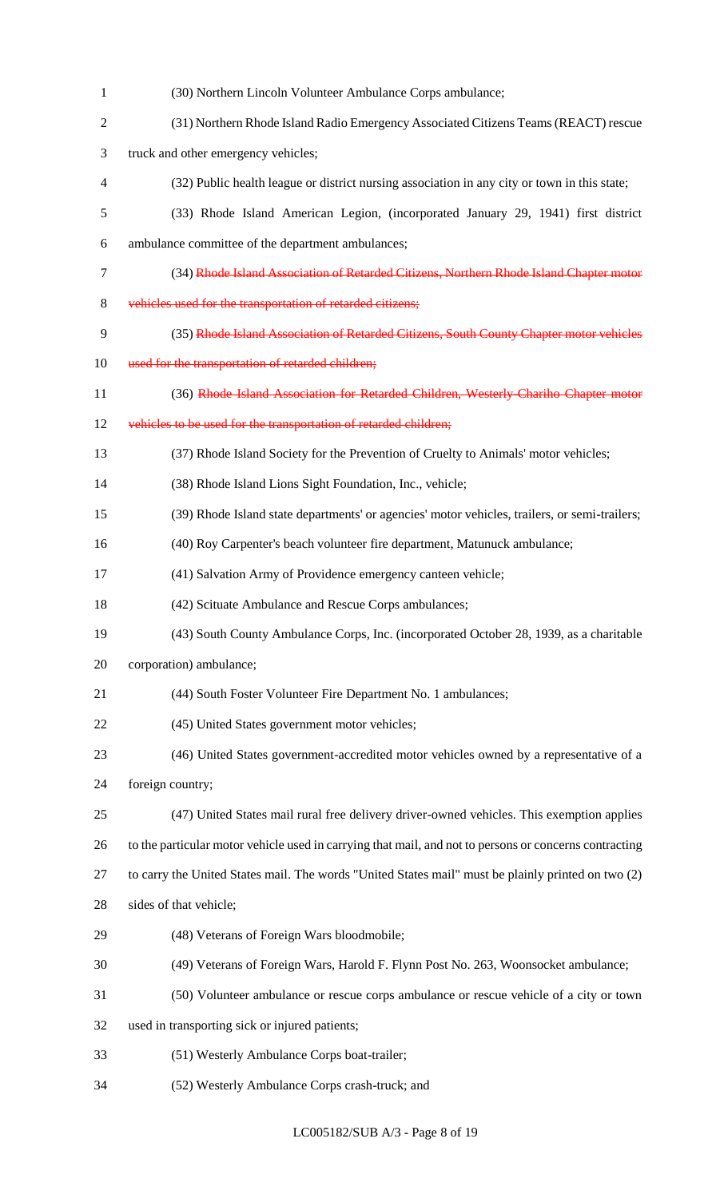| $\mathbf{1}$   | (30) Northern Lincoln Volunteer Ambulance Corps ambulance;                                             |
|----------------|--------------------------------------------------------------------------------------------------------|
| $\overline{2}$ | (31) Northern Rhode Island Radio Emergency Associated Citizens Teams (REACT) rescue                    |
| 3              | truck and other emergency vehicles;                                                                    |
| $\overline{4}$ | (32) Public health league or district nursing association in any city or town in this state;           |
| 5              | (33) Rhode Island American Legion, (incorporated January 29, 1941) first district                      |
| 6              | ambulance committee of the department ambulances;                                                      |
| 7              | (34) Rhode Island Association of Retarded Citizens, Northern Rhode Island Chapter motor                |
| $8\,$          | vehicles used for the transportation of retarded citizens;                                             |
| 9              | (35) Rhode Island Association of Retarded Citizens, South County Chapter motor vehicles                |
| 10             | used for the transportation of retarded children;                                                      |
| 11             | (36) Rhode Island Association for Retarded Children, Westerly Chariho Chapter motor                    |
| 12             | vehicles to be used for the transportation of retarded children;                                       |
| 13             | (37) Rhode Island Society for the Prevention of Cruelty to Animals' motor vehicles;                    |
| 14             | (38) Rhode Island Lions Sight Foundation, Inc., vehicle;                                               |
| 15             | (39) Rhode Island state departments' or agencies' motor vehicles, trailers, or semi-trailers;          |
| 16             | (40) Roy Carpenter's beach volunteer fire department, Matunuck ambulance;                              |
| 17             | (41) Salvation Army of Providence emergency canteen vehicle;                                           |
| 18             | (42) Scituate Ambulance and Rescue Corps ambulances;                                                   |
| 19             | (43) South County Ambulance Corps, Inc. (incorporated October 28, 1939, as a charitable                |
| 20             | corporation) ambulance;                                                                                |
| 21             | (44) South Foster Volunteer Fire Department No. 1 ambulances;                                          |
| 22             | (45) United States government motor vehicles;                                                          |
| 23             | (46) United States government-accredited motor vehicles owned by a representative of a                 |
| 24             | foreign country;                                                                                       |
| 25             | (47) United States mail rural free delivery driver-owned vehicles. This exemption applies              |
| 26             | to the particular motor vehicle used in carrying that mail, and not to persons or concerns contracting |
| 27             | to carry the United States mail. The words "United States mail" must be plainly printed on two (2)     |
| 28             | sides of that vehicle;                                                                                 |
| 29             | (48) Veterans of Foreign Wars bloodmobile;                                                             |
| 30             | (49) Veterans of Foreign Wars, Harold F. Flynn Post No. 263, Woonsocket ambulance;                     |
| 31             | (50) Volunteer ambulance or rescue corps ambulance or rescue vehicle of a city or town                 |
| 32             | used in transporting sick or injured patients;                                                         |
| 33             | (51) Westerly Ambulance Corps boat-trailer;                                                            |
| 34             | (52) Westerly Ambulance Corps crash-truck; and                                                         |

LC005182/SUB A/3 - Page 8 of 19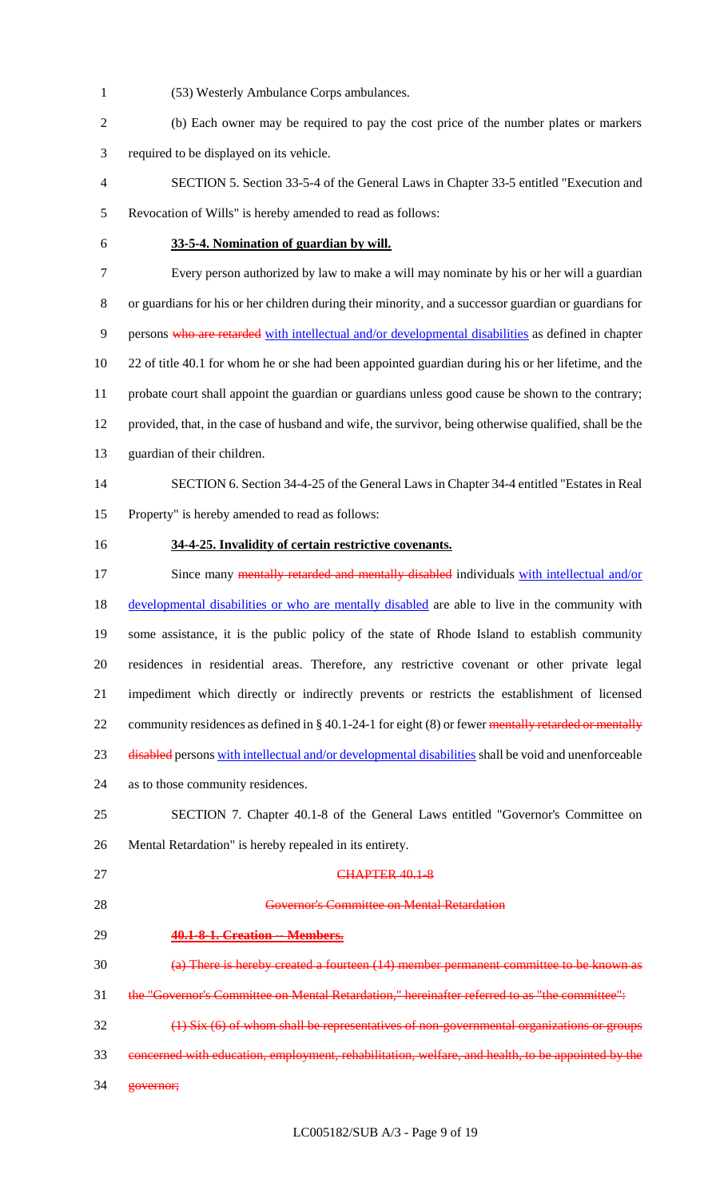- (53) Westerly Ambulance Corps ambulances.
- (b) Each owner may be required to pay the cost price of the number plates or markers required to be displayed on its vehicle.
- SECTION 5. Section 33-5-4 of the General Laws in Chapter 33-5 entitled "Execution and Revocation of Wills" is hereby amended to read as follows:
- 

### **33-5-4. Nomination of guardian by will.**

 Every person authorized by law to make a will may nominate by his or her will a guardian or guardians for his or her children during their minority, and a successor guardian or guardians for 9 persons who are retarded with intellectual and/or developmental disabilities as defined in chapter 22 of title 40.1 for whom he or she had been appointed guardian during his or her lifetime, and the probate court shall appoint the guardian or guardians unless good cause be shown to the contrary; provided, that, in the case of husband and wife, the survivor, being otherwise qualified, shall be the guardian of their children.

- SECTION 6. Section 34-4-25 of the General Laws in Chapter 34-4 entitled "Estates in Real Property" is hereby amended to read as follows:
- 

#### **34-4-25. Invalidity of certain restrictive covenants.**

17 Since many mentally retarded and mentally disabled individuals with intellectual and/or 18 developmental disabilities or who are mentally disabled are able to live in the community with some assistance, it is the public policy of the state of Rhode Island to establish community residences in residential areas. Therefore, any restrictive covenant or other private legal impediment which directly or indirectly prevents or restricts the establishment of licensed 22 community residences as defined in § 40.1-24-1 for eight (8) or fewer mentally retarded or mentally 23 disabled persons with intellectual and/or developmental disabilities shall be void and unenforceable as to those community residences. SECTION 7. Chapter 40.1-8 of the General Laws entitled "Governor's Committee on Mental Retardation" is hereby repealed in its entirety. 27 CHAPTER 40.1-8 Governor's Committee on Mental Retardation **40.1-8-1. Creation -- Members.** (a) There is hereby created a fourteen (14) member permanent committee to be known as the "Governor's Committee on Mental Retardation," hereinafter referred to as "the committee": (1) Six (6) of whom shall be representatives of non-governmental organizations or groups concerned with education, employment, rehabilitation, welfare, and health, to be appointed by the

34 governor;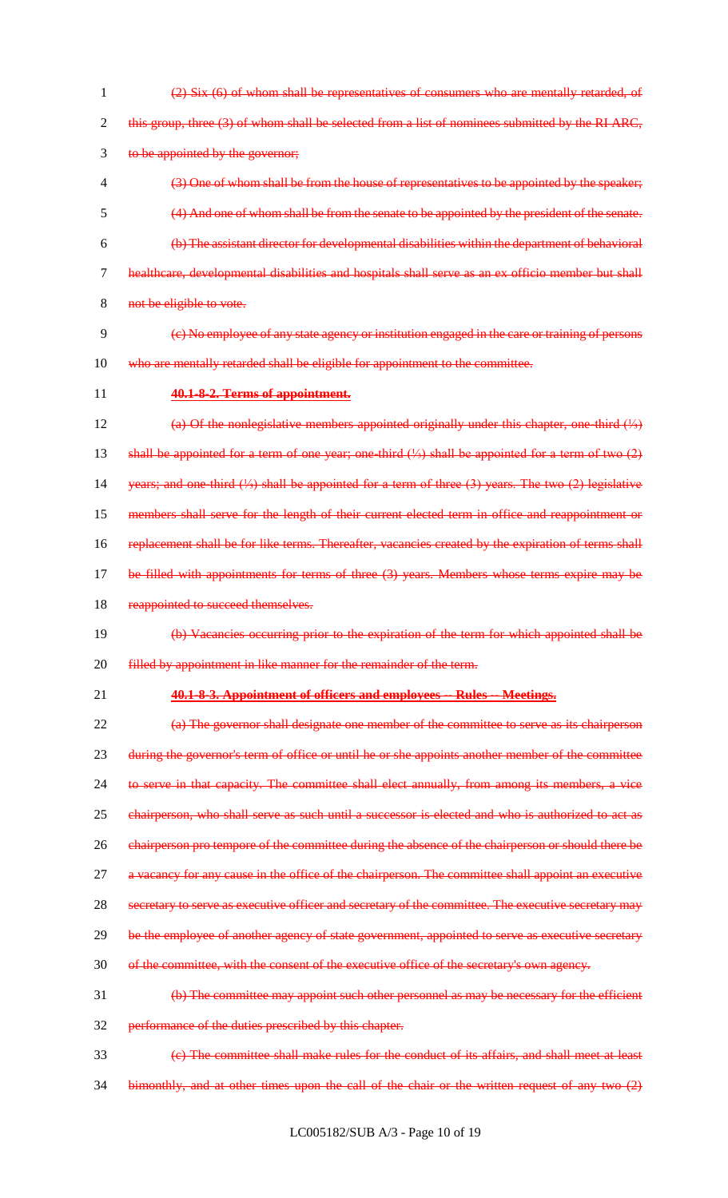1 (2) Six (6) of whom shall be representatives of consumers who are mentally retarded, of 2 this group, three (3) of whom shall be selected from a list of nominees submitted by the RI ARC, 3 to be appointed by the governor; 4 (3) One of whom shall be from the house of representatives to be appointed by the speaker; 5 (4) And one of whom shall be from the senate to be appointed by the president of the senate. 6 (b) The assistant director for developmental disabilities within the department of behavioral 7 healthcare, developmental disabilities and hospitals shall serve as an ex officio member but shall 8 not be eligible to vote. 9 (c) No employee of any state agency or institution engaged in the care or training of persons 10 who are mentally retarded shall be eligible for appointment to the committee. 11 **40.1-8-2. Terms of appointment.** 12 (a) Of the nonlegislative members appointed originally under this chapter, one third (⅓) 13 shall be appointed for a term of one year; one-third (⅓) shall be appointed for a term of two (2) 14 years; and one-third (⅓) shall be appointed for a term of three (3) years. The two (2) legislative 15 members shall serve for the length of their current elected term in office and reappointment or 16 replacement shall be for like terms. Thereafter, vacancies created by the expiration of terms shall 17 be filled with appointments for terms of three (3) years. Members whose terms expire may be 18 reappointed to succeed themselves. 19 (b) Vacancies occurring prior to the expiration of the term for which appointed shall be 20 **filled by appointment in like manner for the remainder of the term.** 21 **40.1-8-3. Appointment of officers and employees -- Rules -- Meetings.** 22 (a) The governor shall designate one member of the committee to serve as its chairperson 23 during the governor's term of office or until he or she appoints another member of the committee 24 to serve in that capacity. The committee shall elect annually, from among its members, a vice 25 chairperson, who shall serve as such until a successor is elected and who is authorized to act as 26 chairperson pro tempore of the committee during the absence of the chairperson or should there be 27 a vacancy for any cause in the office of the chairperson. The committee shall appoint an executive 28 secretary to serve as executive officer and secretary of the committee. The executive secretary may 29 be the employee of another agency of state government, appointed to serve as executive secretary 30 of the committee, with the consent of the executive office of the secretary's own agency. 31 (b) The committee may appoint such other personnel as may be necessary for the efficient 32 performance of the duties prescribed by this chapter. 33 (c) The committee shall make rules for the conduct of its affairs, and shall meet at least 34 bimonthly, and at other times upon the call of the chair or the written request of any two (2)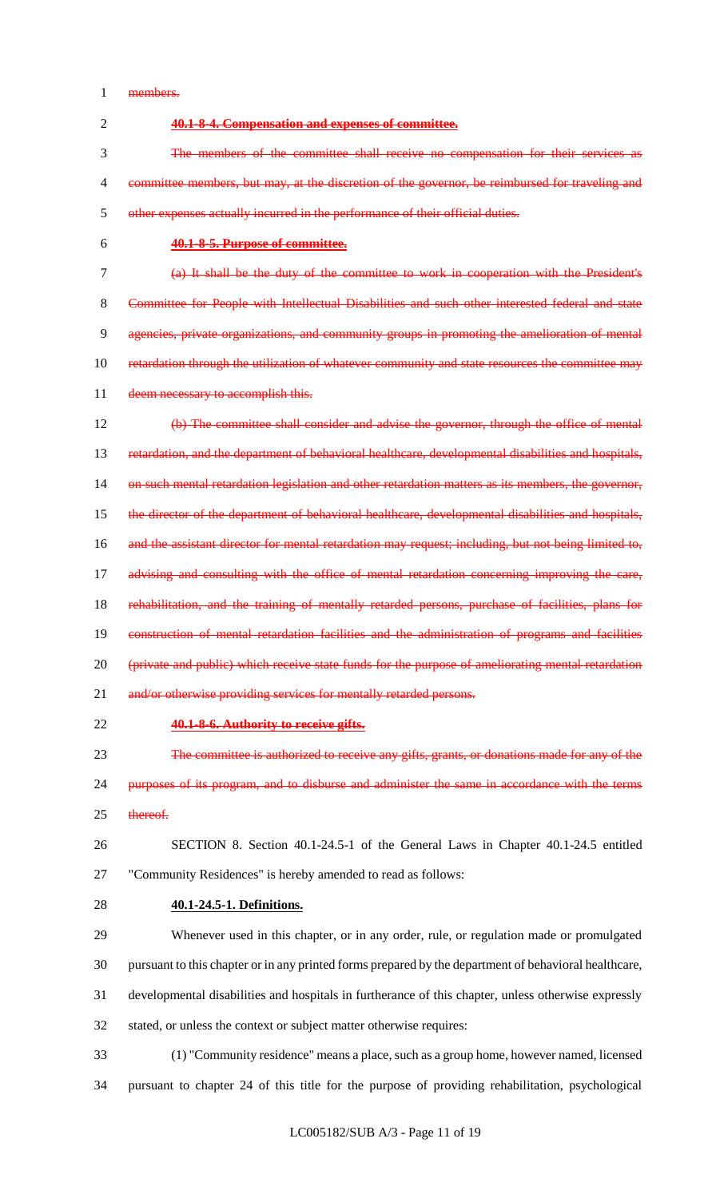members.

| $\overline{2}$ | 40.1-8-4. Compensation and expenses of committee.                                                   |
|----------------|-----------------------------------------------------------------------------------------------------|
| 3              | The members of the committee shall receive no compensation for their services as                    |
| 4              | committee members, but may, at the discretion of the governor, be reimbursed for traveling and      |
| 5              | other expenses actually incurred in the performance of their official duties.                       |
| 6              | 40.1-8-5. Purpose of committee.                                                                     |
| $\tau$         | (a) It shall be the duty of the committee to work in cooperation with the President's               |
| 8              | Committee for People with Intellectual Disabilities and such other interested federal and state     |
| 9              | agencies, private organizations, and community groups in promoting the amelioration of mental       |
| 10             | retardation through the utilization of whatever community and state resources the committee may     |
| 11             | deem necessary to accomplish this.                                                                  |
| 12             | (b) The committee shall consider and advise the governor, through the office of mental              |
| 13             | retardation, and the department of behavioral healthcare, developmental disabilities and hospitals, |
| 14             | on such mental retardation legislation and other retardation matters as its members, the governor,  |
| 15             | the director of the department of behavioral healthcare, developmental disabilities and hospitals,  |
| 16             | and the assistant director for mental retardation may request; including, but not being limited to, |
| 17             | advising and consulting with the office of mental retardation concerning improving the care,        |
| 18             | rehabilitation, and the training of mentally retarded persons, purchase of facilities, plans for    |
| 19             | construction of mental retardation facilities and the administration of programs and facilities     |
| 20             | (private and public) which receive state funds for the purpose of ameliorating mental retardation   |
| 21             | and/or otherwise providing services for mentally retarded persons.                                  |
| 22             | 40.1-8-6. Authority to receive gifts.                                                               |
| 23             | The committee is authorized to receive any gifts, grants, or donations made for any of the          |
| 24             | purposes of its program, and to disburse and administer the same in accordance with the terms       |
| 25             | thereof.                                                                                            |
| 26             | SECTION 8. Section 40.1-24.5-1 of the General Laws in Chapter 40.1-24.5 entitled                    |

- "Community Residences" is hereby amended to read as follows:
- **40.1-24.5-1. Definitions.**

 Whenever used in this chapter, or in any order, rule, or regulation made or promulgated pursuant to this chapter or in any printed forms prepared by the department of behavioral healthcare, developmental disabilities and hospitals in furtherance of this chapter, unless otherwise expressly stated, or unless the context or subject matter otherwise requires:

 (1) "Community residence" means a place, such as a group home, however named, licensed pursuant to chapter 24 of this title for the purpose of providing rehabilitation, psychological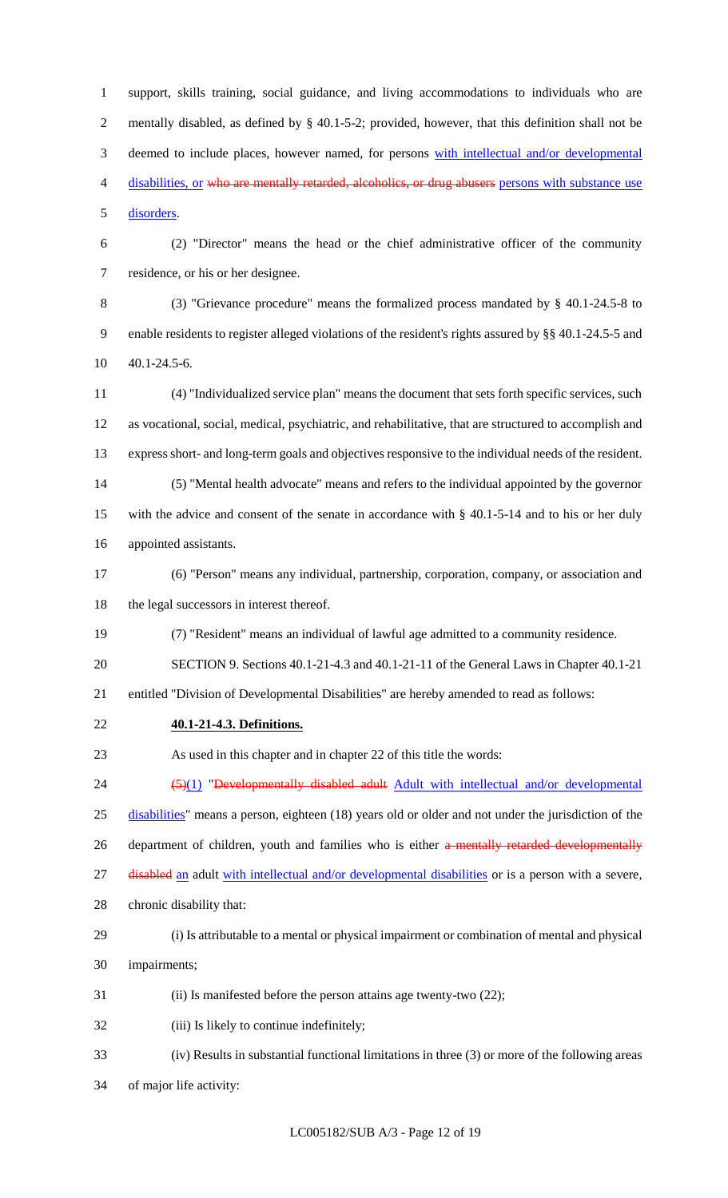support, skills training, social guidance, and living accommodations to individuals who are mentally disabled, as defined by § 40.1-5-2; provided, however, that this definition shall not be 3 deemed to include places, however named, for persons with intellectual and/or developmental 4 disabilities, or who are mentally retarded, alcoholics, or drug abusers persons with substance use disorders.

 (2) "Director" means the head or the chief administrative officer of the community residence, or his or her designee.

 (3) "Grievance procedure" means the formalized process mandated by § 40.1-24.5-8 to enable residents to register alleged violations of the resident's rights assured by §§ 40.1-24.5-5 and 40.1-24.5-6.

 (4) "Individualized service plan" means the document that sets forth specific services, such as vocational, social, medical, psychiatric, and rehabilitative, that are structured to accomplish and express short- and long-term goals and objectives responsive to the individual needs of the resident. (5) "Mental health advocate" means and refers to the individual appointed by the governor with the advice and consent of the senate in accordance with § 40.1-5-14 and to his or her duly

- appointed assistants.
- (6) "Person" means any individual, partnership, corporation, company, or association and 18 the legal successors in interest thereof.
- (7) "Resident" means an individual of lawful age admitted to a community residence.
- SECTION 9. Sections 40.1-21-4.3 and 40.1-21-11 of the General Laws in Chapter 40.1-21

entitled "Division of Developmental Disabilities" are hereby amended to read as follows:

**40.1-21-4.3. Definitions.**

As used in this chapter and in chapter 22 of this title the words:

24 (5)(1) "Developmentally disabled adult Adult with intellectual and/or developmental disabilities" means a person, eighteen (18) years old or older and not under the jurisdiction of the 26 department of children, youth and families who is either a mentally retarded developmentally 27 disabled an adult with intellectual and/or developmental disabilities or is a person with a severe,

- chronic disability that:
- (i) Is attributable to a mental or physical impairment or combination of mental and physical
- impairments;
- (ii) Is manifested before the person attains age twenty-two (22);
- (iii) Is likely to continue indefinitely;
- (iv) Results in substantial functional limitations in three (3) or more of the following areas
- of major life activity: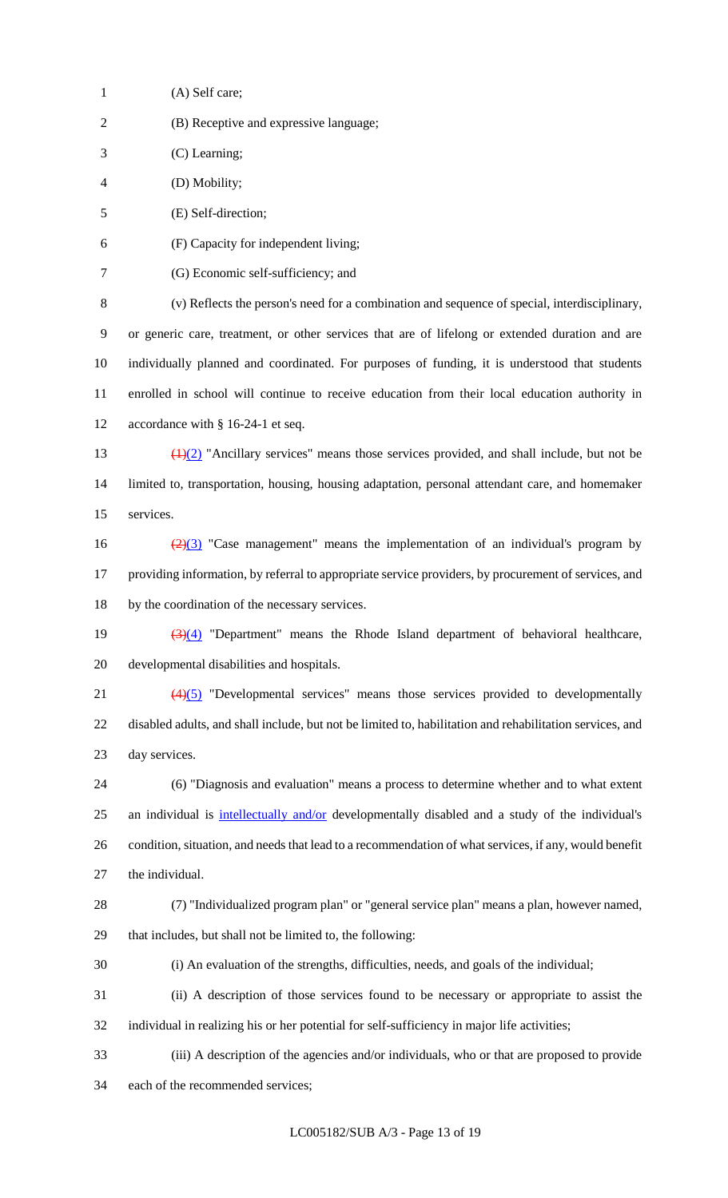| $\mathbf{1}$   | (A) Self care;                                                                                               |
|----------------|--------------------------------------------------------------------------------------------------------------|
| $\overline{c}$ | (B) Receptive and expressive language;                                                                       |
| 3              | (C) Learning;                                                                                                |
| 4              | (D) Mobility;                                                                                                |
| 5              | (E) Self-direction;                                                                                          |
| 6              | (F) Capacity for independent living;                                                                         |
| 7              | (G) Economic self-sufficiency; and                                                                           |
| $8\,$          | (v) Reflects the person's need for a combination and sequence of special, interdisciplinary,                 |
| 9              | or generic care, treatment, or other services that are of lifelong or extended duration and are              |
| 10             | individually planned and coordinated. For purposes of funding, it is understood that students                |
| 11             | enrolled in school will continue to receive education from their local education authority in                |
| 12             | accordance with § 16-24-1 et seq.                                                                            |
| 13             | $\left(\frac{1}{2}\right)$ "Ancillary services" means those services provided, and shall include, but not be |
| 14             | limited to, transportation, housing, housing adaptation, personal attendant care, and homemaker              |
| 15             | services.                                                                                                    |
| 16             | $\frac{2}{2}(3)$ "Case management" means the implementation of an individual's program by                    |
| 17             | providing information, by referral to appropriate service providers, by procurement of services, and         |
| 18             | by the coordination of the necessary services.                                                               |
| 19             | $\frac{(\frac{3}{4})}{(4)}$ "Department" means the Rhode Island department of behavioral healthcare,         |
| 20             | developmental disabilities and hospitals.                                                                    |
| 21             | $\left(\frac{4}{5}\right)$ "Developmental services" means those services provided to developmentally         |
| 22             | disabled adults, and shall include, but not be limited to, habilitation and rehabilitation services, and     |
| 23             | day services.                                                                                                |
| 24             | (6) "Diagnosis and evaluation" means a process to determine whether and to what extent                       |
| 25             | an individual is intellectually and/or developmentally disabled and a study of the individual's              |
| 26             | condition, situation, and needs that lead to a recommendation of what services, if any, would benefit        |
| 27             | the individual.                                                                                              |
| 28             | (7) "Individualized program plan" or "general service plan" means a plan, however named,                     |
| 29             | that includes, but shall not be limited to, the following:                                                   |
| 30             | (i) An evaluation of the strengths, difficulties, needs, and goals of the individual;                        |
| 31             | (ii) A description of those services found to be necessary or appropriate to assist the                      |
| 32             | individual in realizing his or her potential for self-sufficiency in major life activities;                  |
| 33             | (iii) A description of the agencies and/or individuals, who or that are proposed to provide                  |
| 34             | each of the recommended services;                                                                            |
|                |                                                                                                              |

LC005182/SUB A/3 - Page 13 of 19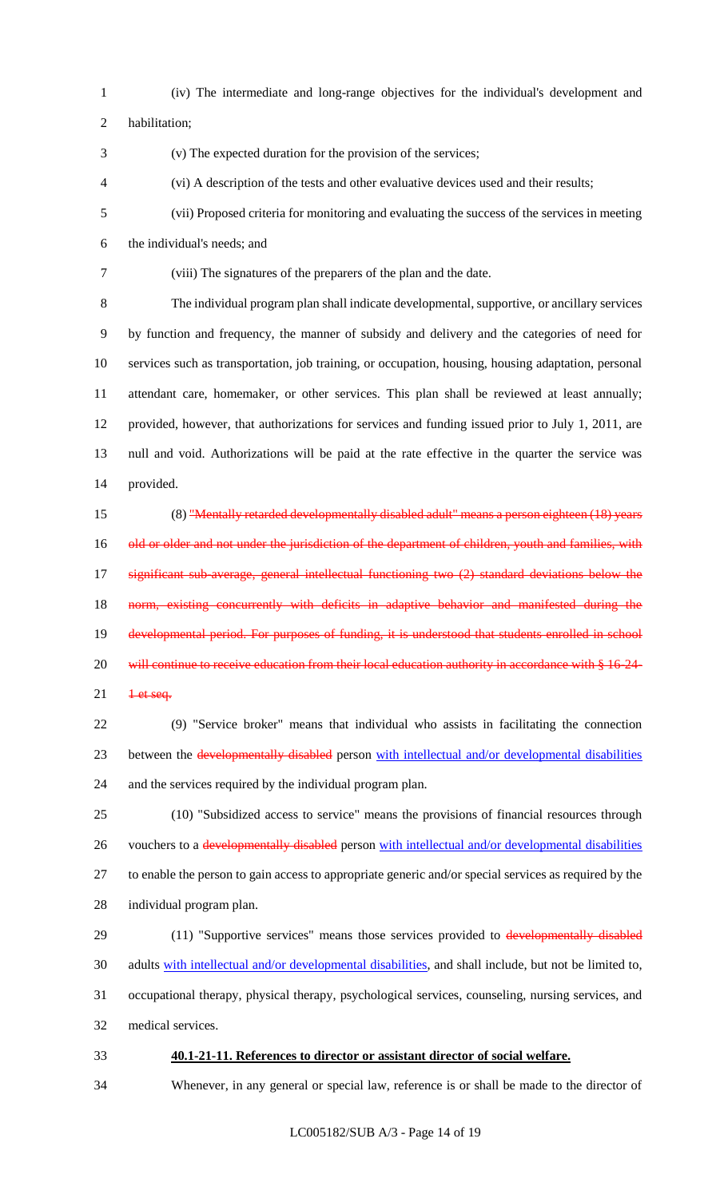- (iv) The intermediate and long-range objectives for the individual's development and
- habilitation;
- (v) The expected duration for the provision of the services;
- (vi) A description of the tests and other evaluative devices used and their results;
- (vii) Proposed criteria for monitoring and evaluating the success of the services in meeting

the individual's needs; and

(viii) The signatures of the preparers of the plan and the date.

 The individual program plan shall indicate developmental, supportive, or ancillary services by function and frequency, the manner of subsidy and delivery and the categories of need for services such as transportation, job training, or occupation, housing, housing adaptation, personal attendant care, homemaker, or other services. This plan shall be reviewed at least annually; provided, however, that authorizations for services and funding issued prior to July 1, 2011, are null and void. Authorizations will be paid at the rate effective in the quarter the service was provided.

15 (8) "Mentally retarded developmentally disabled adult" means a person eighteen (18) years 16 old or older and not under the jurisdiction of the department of children, youth and families, with 17 significant sub-average, general intellectual functioning two (2) standard deviations below the 18 norm, existing concurrently with deficits in adaptive behavior and manifested during the 19 developmental period. For purposes of funding, it is understood that students enrolled in school 20 will continue to receive education from their local education authority in accordance with § 16-24-21 et seq.

 (9) "Service broker" means that individual who assists in facilitating the connection 23 between the developmentally disabled person with intellectual and/or developmental disabilities and the services required by the individual program plan.

 (10) "Subsidized access to service" means the provisions of financial resources through 26 vouchers to a developmentally disabled person with intellectual and/or developmental disabilities to enable the person to gain access to appropriate generic and/or special services as required by the individual program plan.

29 (11) "Supportive services" means those services provided to developmentally disabled adults with intellectual and/or developmental disabilities, and shall include, but not be limited to, occupational therapy, physical therapy, psychological services, counseling, nursing services, and medical services.

#### **40.1-21-11. References to director or assistant director of social welfare.**

Whenever, in any general or special law, reference is or shall be made to the director of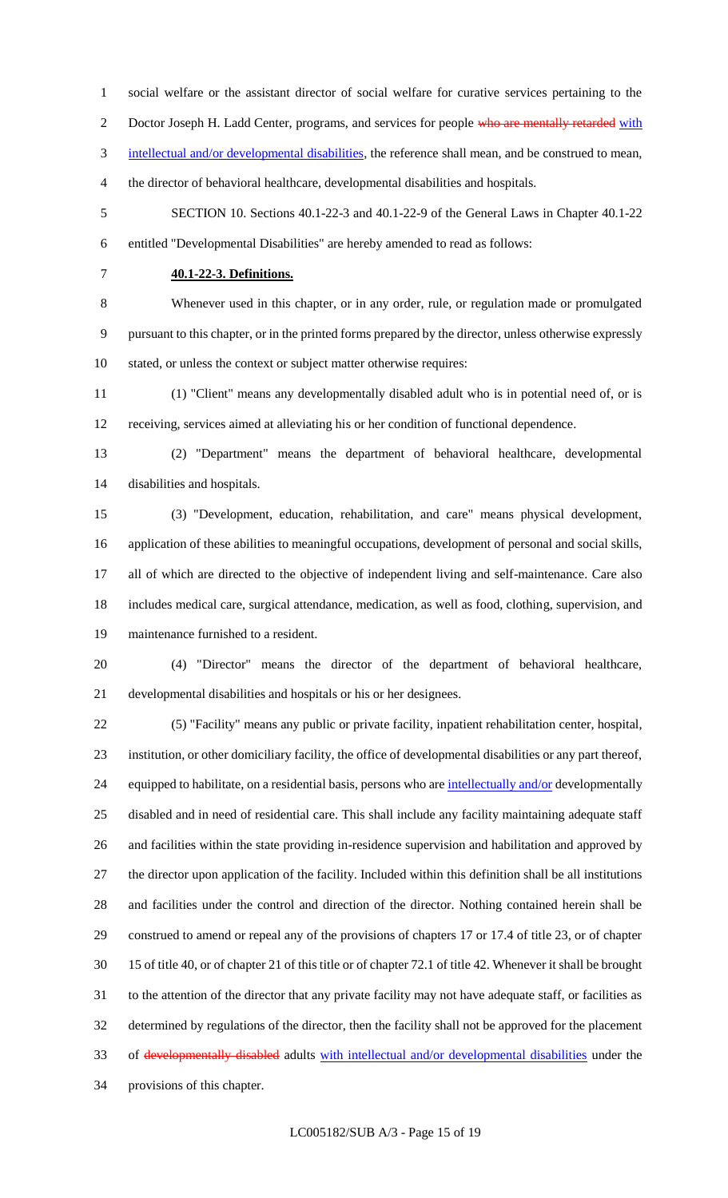social welfare or the assistant director of social welfare for curative services pertaining to the

2 Doctor Joseph H. Ladd Center, programs, and services for people who are mentally retarded with

intellectual and/or developmental disabilities, the reference shall mean, and be construed to mean,

the director of behavioral healthcare, developmental disabilities and hospitals.

 SECTION 10. Sections 40.1-22-3 and 40.1-22-9 of the General Laws in Chapter 40.1-22 entitled "Developmental Disabilities" are hereby amended to read as follows:

## **40.1-22-3. Definitions.**

 Whenever used in this chapter, or in any order, rule, or regulation made or promulgated pursuant to this chapter, or in the printed forms prepared by the director, unless otherwise expressly stated, or unless the context or subject matter otherwise requires:

 (1) "Client" means any developmentally disabled adult who is in potential need of, or is receiving, services aimed at alleviating his or her condition of functional dependence.

 (2) "Department" means the department of behavioral healthcare, developmental disabilities and hospitals.

 (3) "Development, education, rehabilitation, and care" means physical development, application of these abilities to meaningful occupations, development of personal and social skills, all of which are directed to the objective of independent living and self-maintenance. Care also includes medical care, surgical attendance, medication, as well as food, clothing, supervision, and maintenance furnished to a resident.

 (4) "Director" means the director of the department of behavioral healthcare, developmental disabilities and hospitals or his or her designees.

 (5) "Facility" means any public or private facility, inpatient rehabilitation center, hospital, institution, or other domiciliary facility, the office of developmental disabilities or any part thereof, 24 equipped to habilitate, on a residential basis, persons who are intellectually and/or developmentally disabled and in need of residential care. This shall include any facility maintaining adequate staff and facilities within the state providing in-residence supervision and habilitation and approved by the director upon application of the facility. Included within this definition shall be all institutions and facilities under the control and direction of the director. Nothing contained herein shall be construed to amend or repeal any of the provisions of chapters 17 or 17.4 of title 23, or of chapter 15 of title 40, or of chapter 21 of this title or of chapter 72.1 of title 42. Whenever it shall be brought to the attention of the director that any private facility may not have adequate staff, or facilities as determined by regulations of the director, then the facility shall not be approved for the placement of developmentally disabled adults with intellectual and/or developmental disabilities under the provisions of this chapter.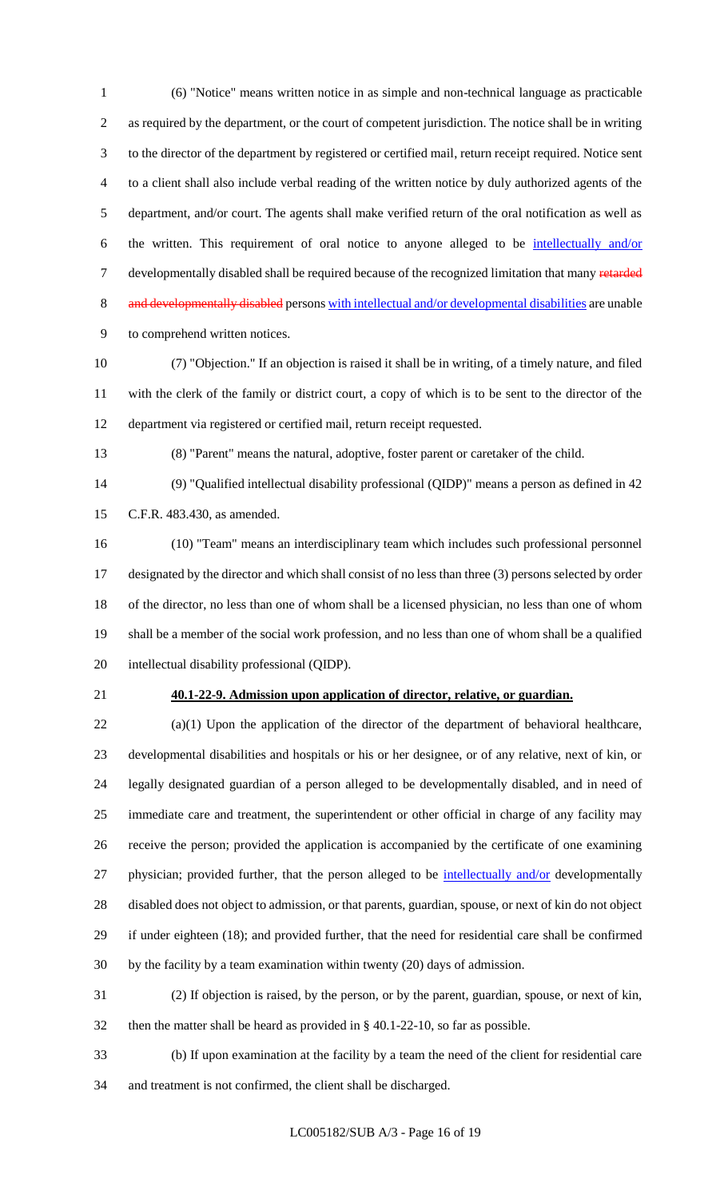(6) "Notice" means written notice in as simple and non-technical language as practicable as required by the department, or the court of competent jurisdiction. The notice shall be in writing to the director of the department by registered or certified mail, return receipt required. Notice sent to a client shall also include verbal reading of the written notice by duly authorized agents of the department, and/or court. The agents shall make verified return of the oral notification as well as the written. This requirement of oral notice to anyone alleged to be intellectually and/or 7 developmentally disabled shall be required because of the recognized limitation that many retarded 8 and developmentally disabled persons with intellectual and/or developmental disabilities are unable to comprehend written notices.

- (7) "Objection." If an objection is raised it shall be in writing, of a timely nature, and filed with the clerk of the family or district court, a copy of which is to be sent to the director of the department via registered or certified mail, return receipt requested.
- 

(8) "Parent" means the natural, adoptive, foster parent or caretaker of the child.

 (9) "Qualified intellectual disability professional (QIDP)" means a person as defined in 42 C.F.R. 483.430, as amended.

 (10) "Team" means an interdisciplinary team which includes such professional personnel designated by the director and which shall consist of no less than three (3) persons selected by order of the director, no less than one of whom shall be a licensed physician, no less than one of whom shall be a member of the social work profession, and no less than one of whom shall be a qualified intellectual disability professional (QIDP).

#### **40.1-22-9. Admission upon application of director, relative, or guardian.**

 (a)(1) Upon the application of the director of the department of behavioral healthcare, developmental disabilities and hospitals or his or her designee, or of any relative, next of kin, or legally designated guardian of a person alleged to be developmentally disabled, and in need of immediate care and treatment, the superintendent or other official in charge of any facility may receive the person; provided the application is accompanied by the certificate of one examining 27 physician; provided further, that the person alleged to be intellectually and/or developmentally disabled does not object to admission, or that parents, guardian, spouse, or next of kin do not object if under eighteen (18); and provided further, that the need for residential care shall be confirmed by the facility by a team examination within twenty (20) days of admission.

 (2) If objection is raised, by the person, or by the parent, guardian, spouse, or next of kin, then the matter shall be heard as provided in § 40.1-22-10, so far as possible.

 (b) If upon examination at the facility by a team the need of the client for residential care and treatment is not confirmed, the client shall be discharged.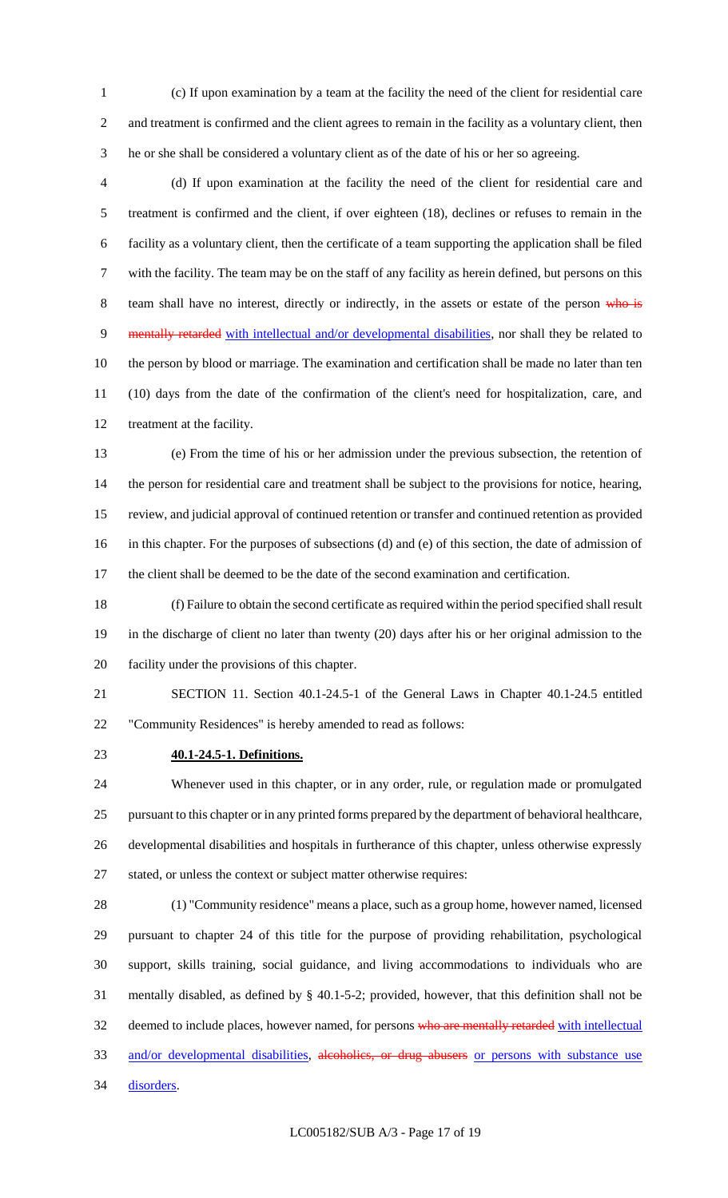(c) If upon examination by a team at the facility the need of the client for residential care and treatment is confirmed and the client agrees to remain in the facility as a voluntary client, then he or she shall be considered a voluntary client as of the date of his or her so agreeing.

 (d) If upon examination at the facility the need of the client for residential care and treatment is confirmed and the client, if over eighteen (18), declines or refuses to remain in the facility as a voluntary client, then the certificate of a team supporting the application shall be filed with the facility. The team may be on the staff of any facility as herein defined, but persons on this 8 team shall have no interest, directly or indirectly, in the assets or estate of the person who is 9 mentally retarded with intellectual and/or developmental disabilities, nor shall they be related to the person by blood or marriage. The examination and certification shall be made no later than ten (10) days from the date of the confirmation of the client's need for hospitalization, care, and treatment at the facility.

 (e) From the time of his or her admission under the previous subsection, the retention of the person for residential care and treatment shall be subject to the provisions for notice, hearing, review, and judicial approval of continued retention or transfer and continued retention as provided in this chapter. For the purposes of subsections (d) and (e) of this section, the date of admission of the client shall be deemed to be the date of the second examination and certification.

 (f) Failure to obtain the second certificate as required within the period specified shall result in the discharge of client no later than twenty (20) days after his or her original admission to the facility under the provisions of this chapter.

 SECTION 11. Section 40.1-24.5-1 of the General Laws in Chapter 40.1-24.5 entitled "Community Residences" is hereby amended to read as follows:

**40.1-24.5-1. Definitions.**

 Whenever used in this chapter, or in any order, rule, or regulation made or promulgated pursuant to this chapter or in any printed forms prepared by the department of behavioral healthcare, developmental disabilities and hospitals in furtherance of this chapter, unless otherwise expressly stated, or unless the context or subject matter otherwise requires:

 (1) "Community residence" means a place, such as a group home, however named, licensed pursuant to chapter 24 of this title for the purpose of providing rehabilitation, psychological support, skills training, social guidance, and living accommodations to individuals who are mentally disabled, as defined by § 40.1-5-2; provided, however, that this definition shall not be 32 deemed to include places, however named, for persons who are mentally retarded with intellectual 33 and/or developmental disabilities, alcoholics, or drug abusers or persons with substance use disorders.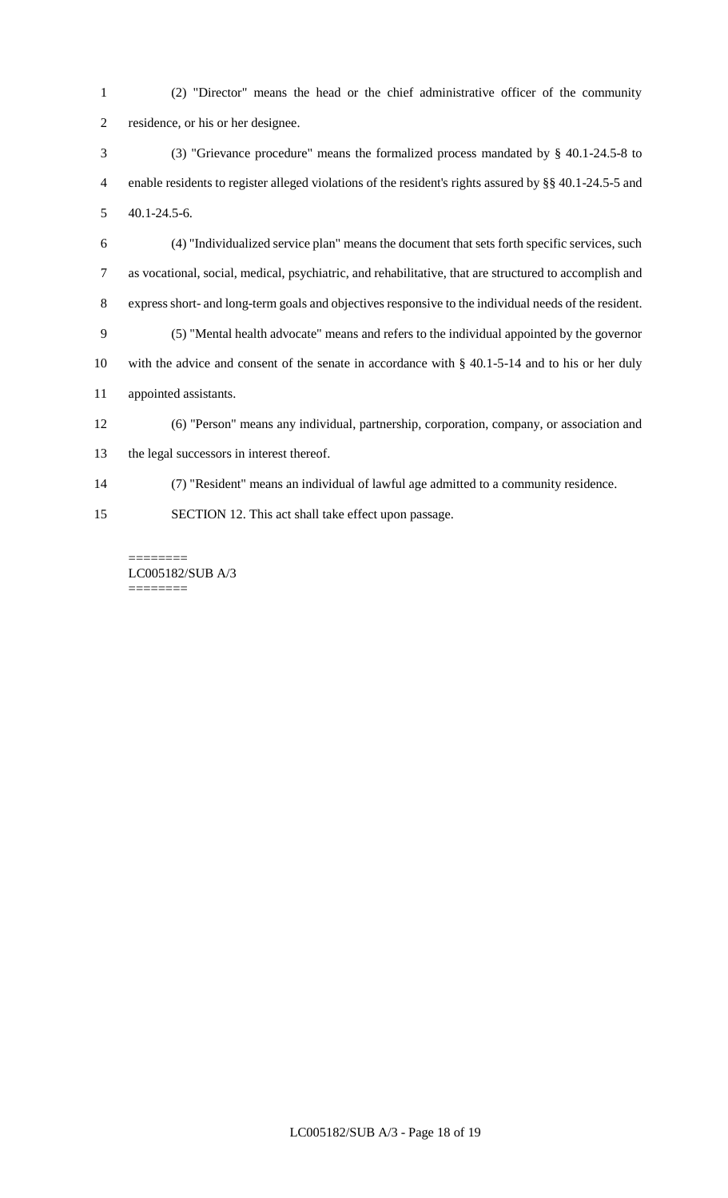(2) "Director" means the head or the chief administrative officer of the community residence, or his or her designee.

 (3) "Grievance procedure" means the formalized process mandated by § 40.1-24.5-8 to enable residents to register alleged violations of the resident's rights assured by §§ 40.1-24.5-5 and 40.1-24.5-6.

 (4) "Individualized service plan" means the document that sets forth specific services, such as vocational, social, medical, psychiatric, and rehabilitative, that are structured to accomplish and express short- and long-term goals and objectives responsive to the individual needs of the resident. (5) "Mental health advocate" means and refers to the individual appointed by the governor

 with the advice and consent of the senate in accordance with § 40.1-5-14 and to his or her duly appointed assistants.

(6) "Person" means any individual, partnership, corporation, company, or association and

the legal successors in interest thereof.

(7) "Resident" means an individual of lawful age admitted to a community residence.

SECTION 12. This act shall take effect upon passage.

======== LC005182/SUB A/3 ========